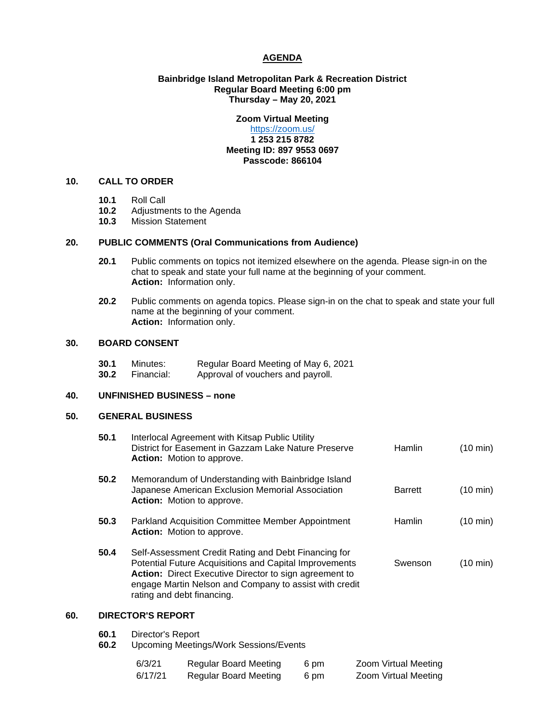#### **AGENDA**

#### **Bainbridge Island Metropolitan Park & Recreation District Regular Board Meeting 6:00 pm Thursday – May 20, 2021**

# **Zoom Virtual Meeting**

#### <https://zoom.us/> **1 253 215 8782 Meeting ID: 897 9553 0697 Passcode: 866104**

# **10. CALL TO ORDER**

- **10.1** Roll Call
- 10.2 Adjustments to the Agenda<br>10.3 Mission Statement
- **10.3** Mission Statement

#### **20. PUBLIC COMMENTS (Oral Communications from Audience)**

- **20.1** Public comments on topics not itemized elsewhere on the agenda. Please sign-in on the chat to speak and state your full name at the beginning of your comment. **Action:** Information only.
- **20.2** Public comments on agenda topics. Please sign-in on the chat to speak and state your full name at the beginning of your comment. **Action:** Information only.

### **30. BOARD CONSENT**

| 30.1 | Minutes:   | Regular Board Meeting of May 6, 2021 |
|------|------------|--------------------------------------|
| 30.2 | Financial: | Approval of vouchers and payroll.    |

#### **40. UNFINISHED BUSINESS – none**

#### **50. GENERAL BUSINESS**

| 50.1 | Interlocal Agreement with Kitsap Public Utility<br>District for Easement in Gazzam Lake Nature Preserve<br><b>Action:</b> Motion to approve.                                                                                                                            | Hamlin         | $(10 \text{ min})$ |  |  |  |
|------|-------------------------------------------------------------------------------------------------------------------------------------------------------------------------------------------------------------------------------------------------------------------------|----------------|--------------------|--|--|--|
| 50.2 | Memorandum of Understanding with Bainbridge Island<br>Japanese American Exclusion Memorial Association<br>Action: Motion to approve.                                                                                                                                    | <b>Barrett</b> | $(10 \text{ min})$ |  |  |  |
| 50.3 | Parkland Acquisition Committee Member Appointment<br><b>Action:</b> Motion to approve.                                                                                                                                                                                  | Hamlin         | $(10 \text{ min})$ |  |  |  |
| 50.4 | Self-Assessment Credit Rating and Debt Financing for<br>Potential Future Acquisitions and Capital Improvements<br><b>Action:</b> Direct Executive Director to sign agreement to<br>engage Martin Nelson and Company to assist with credit<br>rating and debt financing. | Swenson        | $(10 \text{ min})$ |  |  |  |
| 60.  | <b>DIRECTOR'S REPORT</b>                                                                                                                                                                                                                                                |                |                    |  |  |  |
| 60.1 | Director's Report                                                                                                                                                                                                                                                       |                |                    |  |  |  |

**60.2** Upcoming Meetings/Work Sessions/Events

| 6/3/21  | Regular Board Meeting | 6 pm | Zoom Virtual Meeting |
|---------|-----------------------|------|----------------------|
| 6/17/21 | Regular Board Meeting | 6 pm | Zoom Virtual Meeting |